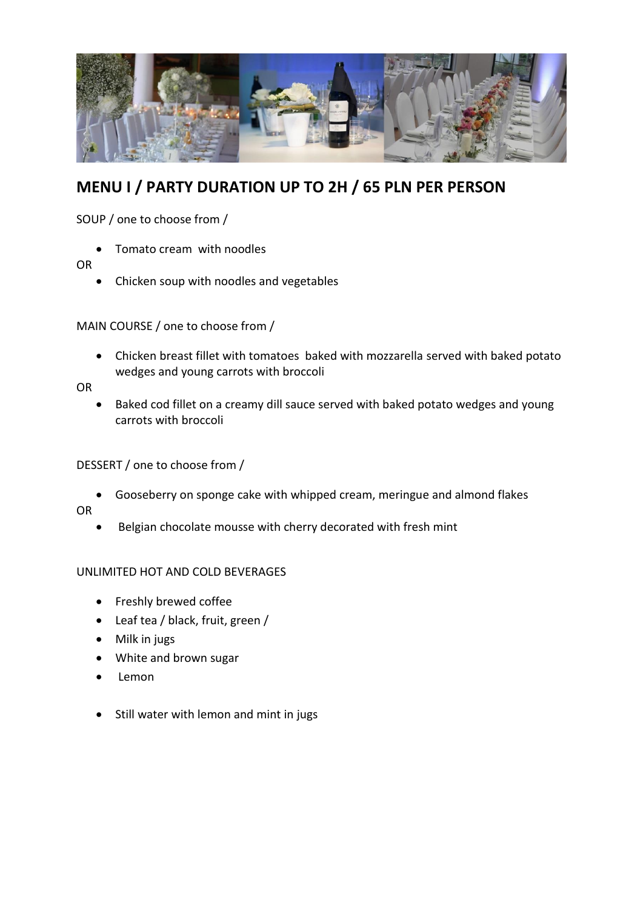

# **MENU I / PARTY DURATION UP TO 2H / 65 PLN PER PERSON**

SOUP / one to choose from /

Tomato cream with noodles

#### OR

Chicken soup with noodles and vegetables

## MAIN COURSE / one to choose from /

 Chicken breast fillet with tomatoes baked with mozzarella served with baked potato wedges and young carrots with broccoli

OR

 Baked cod fillet on a creamy dill sauce served with baked potato wedges and young carrots with broccoli

## DESSERT / one to choose from /

Gooseberry on sponge cake with whipped cream, meringue and almond flakes

OR

Belgian chocolate mousse with cherry decorated with fresh mint

## UNLIMITED HOT AND COLD BEVERAGES

- Freshly brewed coffee
- Leaf tea / black, fruit, green /
- Milk in jugs
- White and brown sugar
- Lemon
- Still water with lemon and mint in jugs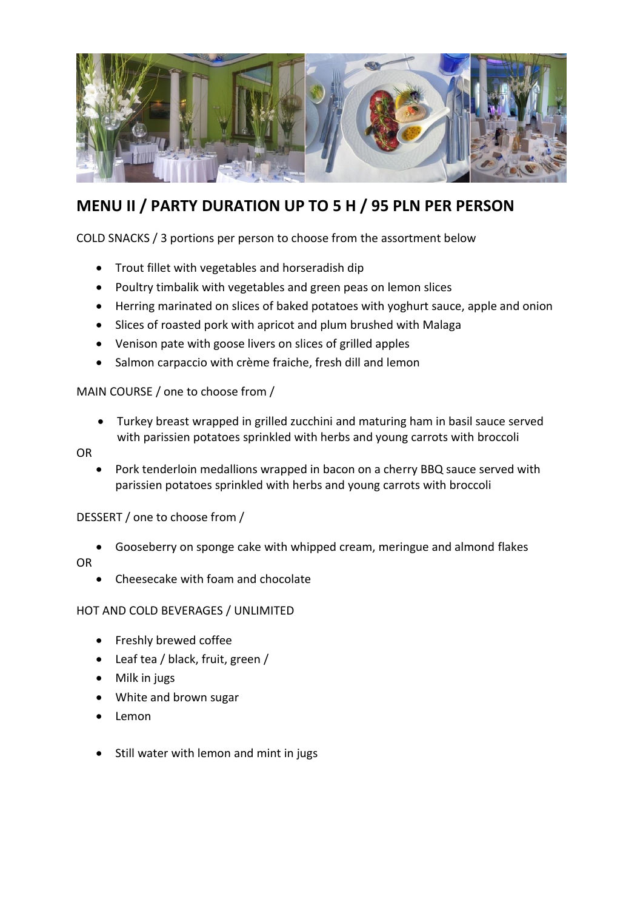

# **MENU II / PARTY DURATION UP TO 5 H / 95 PLN PER PERSON**

COLD SNACKS / 3 portions per person to choose from the assortment below

- Trout fillet with vegetables and horseradish dip
- Poultry timbalik with vegetables and green peas on lemon slices
- Herring marinated on slices of baked potatoes with yoghurt sauce, apple and onion
- Slices of roasted pork with apricot and plum brushed with Malaga
- Venison pate with goose livers on slices of grilled apples
- Salmon carpaccio with crème fraiche, fresh dill and lemon

## MAIN COURSE / one to choose from /

 Turkey breast wrapped in grilled zucchini and maturing ham in basil sauce served with parissien potatoes sprinkled with herbs and young carrots with broccoli

#### OR

 Pork tenderloin medallions wrapped in bacon on a cherry BBQ sauce served with parissien potatoes sprinkled with herbs and young carrots with broccoli

## DESSERT / one to choose from /

Gooseberry on sponge cake with whipped cream, meringue and almond flakes

## OR

Cheesecake with foam and chocolate

## HOT AND COLD BEVERAGES / UNLIMITED

- Freshly brewed coffee
- Leaf tea / black, fruit, green /
- Milk in jugs
- White and brown sugar
- Lemon
- Still water with lemon and mint in jugs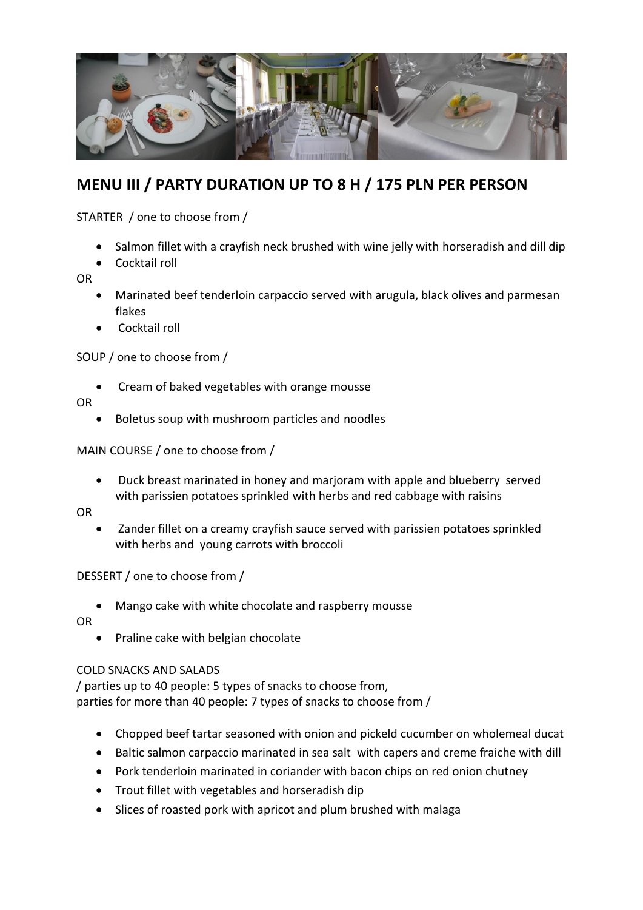

## **MENU III / PARTY DURATION UP TO 8 H / 175 PLN PER PERSON**

STARTER / one to choose from /

- Salmon fillet with a crayfish neck brushed with wine jelly with horseradish and dill dip
- Cocktail roll

OR

- Marinated beef tenderloin carpaccio served with arugula, black olives and parmesan flakes
- Cocktail roll

SOUP / one to choose from /

• Cream of baked vegetables with orange mousse

OR

Boletus soup with mushroom particles and noodles

MAIN COURSE / one to choose from /

 Duck breast marinated in honey and marjoram with apple and blueberry served with parissien potatoes sprinkled with herbs and red cabbage with raisins

OR

 Zander fillet on a creamy crayfish sauce served with parissien potatoes sprinkled with herbs and young carrots with broccoli

DESSERT / one to choose from /

Mango cake with white chocolate and raspberry mousse

OR

• Praline cake with belgian chocolate

#### COLD SNACKS AND SALADS

/ parties up to 40 people: 5 types of snacks to choose from, parties for more than 40 people: 7 types of snacks to choose from /

- Chopped beef tartar seasoned with onion and pickeld cucumber on wholemeal ducat
- Baltic salmon carpaccio marinated in sea salt with capers and creme fraiche with dill
- Pork tenderloin marinated in coriander with bacon chips on red onion chutney
- Trout fillet with vegetables and horseradish dip
- Slices of roasted pork with apricot and plum brushed with malaga